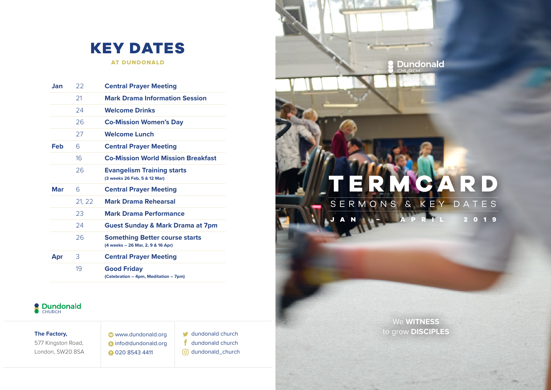

AT DUNDONALD

| Jan | 22     | <b>Central Prayer Meeting</b>                                              |
|-----|--------|----------------------------------------------------------------------------|
|     | 21     | <b>Mark Drama Information Session</b>                                      |
|     | 24     | <b>Welcome Drinks</b>                                                      |
|     | 26     | <b>Co-Mission Women's Day</b>                                              |
|     | 27     | <b>Welcome Lunch</b>                                                       |
| Feb | 6      | <b>Central Prayer Meeting</b>                                              |
|     | 16     | <b>Co-Mission World Mission Breakfast</b>                                  |
|     | 26     | <b>Evangelism Training starts</b><br>(3 weeks 26 Feb, 5 & 12 Mar)          |
| Mar | 6      | <b>Central Prayer Meeting</b>                                              |
|     | 21, 22 | <b>Mark Drama Rehearsal</b>                                                |
|     | 23     | <b>Mark Drama Performance</b>                                              |
|     | 24     | <b>Guest Sunday &amp; Mark Drama at 7pm</b>                                |
|     | 26     | <b>Something Better course starts</b><br>(4 weeks - 26 Mar, 2, 9 & 16 Apr) |
| Apr | 3      | <b>Central Prayer Meeting</b>                                              |
|     | 19     | <b>Good Friday</b><br>(Celebration - 4pm, Meditation - 7pm)                |



# **TERMCARD**

SERMONS & KEY DATES **2** 0 1 9

**S** Dundonald

### **The Factory,**

577 Kingston Road, London, SW20 8SA www.dundonald.org **a** info@dundonald.org 020 8543 4411

dundonald church f dundonald church o dundonald\_church

We **WITNESS** to grow **DISCIPLES**